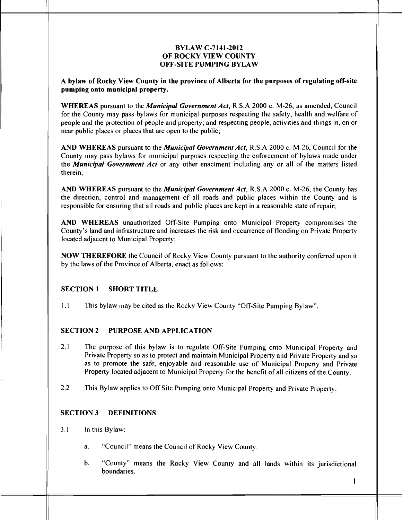#### *BYLAW C-7141-2012 OF ROCKY VIEW COUNTY OFF-SITE PUMPING BYLAW*

*A bylaw of Rocky View County in the province of Alberta for the purposes of regulating off-site pumping onto municipal property.*

*WHEREAS* pursuant to the *Municipal Government Act,* R.S.A 2000 c. M-26, as amended, Council for the County may pass bylaws for municipal purposes respecting the safety, health and welfare of people and the protection of people and property; and respecting people, activities and things in, on or near public places or places that are open to the public;

*AND WHEREAS* pursuant to the *Municipal Government* **Act,** R.S.A 2000 c. M-26, Council for the County may pass bylaws for municipal purposes respecting the enforcement of bylaws made under the *Municipal Government Act* or any other enactment including any or all of the matters listed therein;

*AND WHEREAS* pursuant to the *Municipal Government Act,* R.S.A 2000 c. M-26, the County has the direction, control and management of all roads and public places within the County and is responsible for ensuring that all roads and public places are kept in a reasonable state of repair;

*AND WHEREAS* unauthorized Off-Site Pumping onto Municipal Property compromises the County's land and infrastructure and increases the risk and occurrence of flooding on Private Property located adjacent to Municipal Property;

*NOW THEREFORE* the Council of Rocky View County pursuant to the authority conferred upon it by the laws of the Province of Alberta, enact as follows:

#### *SECTION <sup>1</sup> SHORT TITLE*

1.1 This bylaw may be cited as the Rocky View County "Off-Site Pumping Bylaw".

#### *SECTION 2 PURPOSE AND APPLICATION*

- 2.1 The purpose of this bylaw is to regulate Off-Site Pumping onto Municipal Property and Private Property so as to protect and maintain Municipal Property and Private Property and so as to promote the safe, enjoyable and reasonable use of Municipal Property and Private Property located adjacent to Municipal Property for the benefit of all citizens of the County.
- 2.2 This Bylaw applies to OffSite Pumping onto Municipal Property and Private Property.

# *SECTION 3 DEFINITIONS*

- 3.1 In this Bylaw:
	- a. "Council" means the Council of Rocky View County.
	- b. "County" means the Rocky View County and all lands within its jurisdictional boundaries.

 $\mathbf{I}$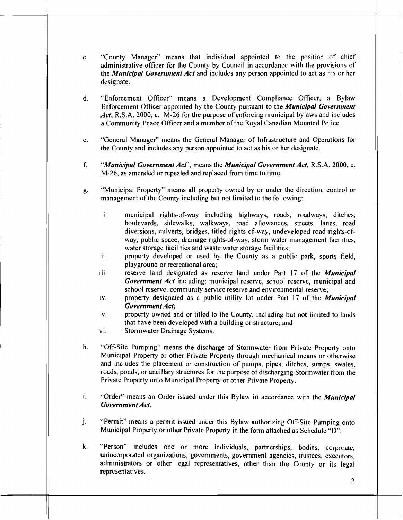- c. "County Manager" means that individual appointed to the position of chief administrative officer for the County by Council in accordance with the provisions of the *Municipal Government* **Act** and includes any person appointed to act as his or her designate.
- d. "Enforcement Officer" means a Development Compliance Officer, a Bylaw Enforcement Officer appointed by the County pursuant to the *Municipal Government Act,* R.S.A. 2000, c. M-26 for the purpose of enforcing municipal bylaws and includes a Community Peace Officer and a member of the Royal Canadian Mounted Police.
- e. "General Manager" means the General Manager of Infrastructure and Operations for the County and includes any person appointed to act as his or her designate.
- *f. "Municipal Government* **Act'',** means the *Municipal Government Act,* R.S.A. 2000, c. M-26, as amended or repealed and replaced from time to time.
- g. "Municipal Property" means all property owned by or under the direction, control or management of the County including but not limited to the following:
	- i. municipal rights-of-way including highways, roads, roadways, ditches, boulevards, sidewalks, walkways, road allowances, streets, lanes, road diversions, culverts, bridges, titled rights-of-way, undeveloped road rights-ofway, public space, drainage rights-of-way, storm water management facilities, water storage facilities and waste water storage facilities;
	- ii. property developed or used by the County as a public park, sports field, playground or recreational area;
	- iii. reserve land designated as reserve land under Part 17 of the *Municipal Government Act* including: municipal reserve, school reserve, municipal and school reserve, community service reserve and environmental reserve;
	- iv. property designated as a public utility lot under Part 17 of the *Municipal Government Act;*
	- v. property owned and or titled to the County, including but not limited to lands that have been developed with a building or structure; and
	- vi. Stormwater Drainage Systems.
- h. "Off-Site Pumping" means the discharge of Stormwater from Private Property onto Municipal Property or other Private Property through mechanical means or otherwise and includes the placement or construction of pumps, pipes, ditches, sumps, swales, roads, ponds, or ancillary structures for the purpose of discharging Stormwater from the Private Property onto Municipal Property or other Private Property.
- i. "Order" means an Order issued under this Bylaw in accordance with the *Municipal Government Act.*
- j. "Permit" means a permit issued under this Bylaw authorizing Off-Site Pumping onto Municipal Property or other Private Property in the form attached as Schedule "D".
- k. "Person" includes one or more individuals, partnerships, bodies, corporate, unincorporated organizations, governments, government agencies, trustees, executors, administrators or other legal representatives, other than the County or its legal representatives.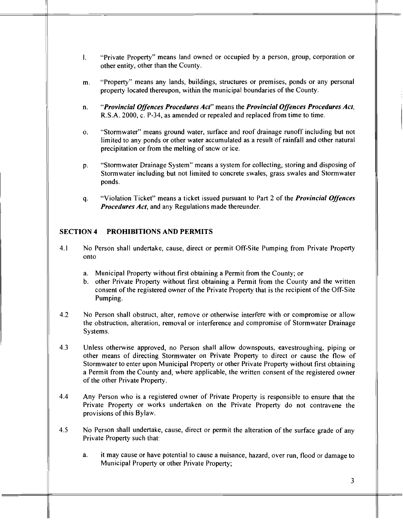- *1.* "Private Property" means land owned or occupied by a person, group, corporation or other entity, other than the County.
- m. "Property" means any lands, buildings, structures or premises, ponds or any personal property located thereupon, within the municipal boundaries of the County.
- *n. "Provincial Offences Procedures Act"* means the *Provincial Offences Procedures Act,* R.S.A. 2000, c. P-34, as amended or repealed and replaced from time to time.
- o. "Stormwater" means ground water, surface and roof drainage runoff including but not limited to any ponds or other water accumulated as a result of rainfall and other natural precipitation or from the melting of snow or ice.
- p. "Stormwater Drainage System" means a system for collecting, storing and disposing of Stormwater including but not limited to concrete swales, grass swales and Stormwater ponds.
- q. "Violation Ticket" means a ticket issued pursuant to Part 2 of the *Provincial* **Offences** *Procedures Act,* and any Regulations made thereunder.

### *SECTION 4 PROHIBITIONS AND PERMITS*

- 4.1 No Person shall undertake, cause, direct or permit Off-Site Pumping from Private Property onto
	- a. Municipal Property without first obtaining a Permit from the County; or
	- b. other Private Property without first obtaining a Permit from the County and the written consent of the registered owner of the Private Property that is the recipient of the Off-Site Pumping.
- 4.2 No Person shall obstruct, alter, remove or otherwise interfere with or compromise or allow the obstruction, alteration, removal or interference and compromise of Stormwater Drainage Systems.
- 4.3 Unless otherwise approved, no Person shall allow downspouts, eavestroughing, piping or other means of directing Stormwater on Private Property to direct or cause the flow of Stormwater toenter upon Municipal Property orother Private Property without first obtaining a Permit from the County and, where applicable, the written consent of the registered owner of the other Private Property.
- 4.4 Any Person who is a registered owner of Private Property is responsible to ensure that the Private Property or works undertaken on the Private Property do not contravene the provisions of this Bylaw.
- 4.5 No Person shall undertake, cause, direct or permit the alteration of the surface grade of any Private Property such that:
	- a. itmay cause orhave potential to cause a nuisance, hazard, over run, flood or damage to Municipal Property or other Private Property;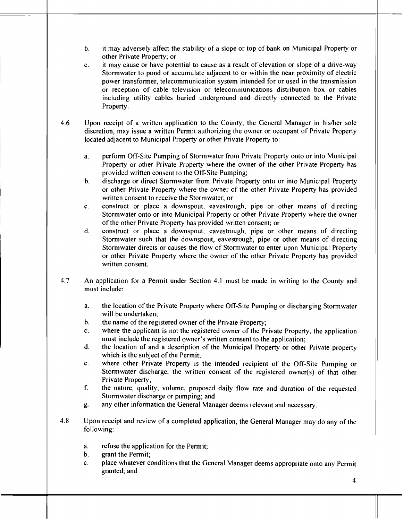- b. it may adversely affect the stability of a slope or top of bank on Municipal Property or other Private Property; or
- c. it may cause or have potential to cause as a result of elevation or slope of a drive-way Stormwater to pond or accumulate adjacent to or within the near proximity of electric power transformer, telecommunication system intended for or used in the transmission or reception of cable television or telecommunications distribution box or cables including utility cables buried underground and directly connected to the Private Property.
- 4.6 Upon receipt of a written application to the County, the General Manager in his/her sole discretion, may issue a written Permit authorizing the owner or occupant of Private Property located adjacent to Municipal Property or other Private Property to:
	- a. perform Off-Site Pumping of Stormwater from Private Property onto or into Municipal Property or other Private Property where the owner of the other Private Property has provided written consent to the Off-Site Pumping;
	- b. discharge or direct Stormwater from Private Property onto or into Municipal Property or other Private Property where the owner of the other Private Property has provided written consent to receive the Stormwater; or
	- c. construct or place a downspout, eavestrough, pipe or other means of directing Stormwater onto or into Municipal Property or other Private Property where the owner of the other Private Property has provided written consent; or
	- d. construct or place a downspout, eavestrough, pipe or other means of directing Stormwater such that the downspout, eavestrough, pipe or other means of directing Stormwater directs or causes the flow of Stormwater to enter upon Municipal Property or other Private Property where the owner of the other Private Property has provided written consent.
- 4.7 An application for a Permit under Section 4.1 must be made in writing to the County and must include:
	- a. the location of the Private Property where Off-Site Pumping or discharging Stormwater will be undertaken;
	- b. the name of the registered owner of the Private Property;
	- c. where the applicant is not the registered owner of the Private Property, the application must include the registered owner's written consent to the application;
	- d. the location of and a description of the Municipal Property or other Private property which is the subject of the Permit;
	- e. where other Private Property is the intended recipient of the Off-Site Pumping or Stormwater discharge, the written consent of the registered owner(s) of that other Private Property;
	- f. the nature, quality, volume, proposed daily flow rate and duration of the requested Stormwater discharge or pumping; and
	- g. any other information the General Manager deems relevant and necessary.
- 4.8 Upon receipt and review of a completed application, the General Manager may do any of the following:
	- a. refuse the application for the Permit;
	- b. grant the Permit;
	- c. place whatever conditions that the General Manager deems appropriate onto any Permit granted; and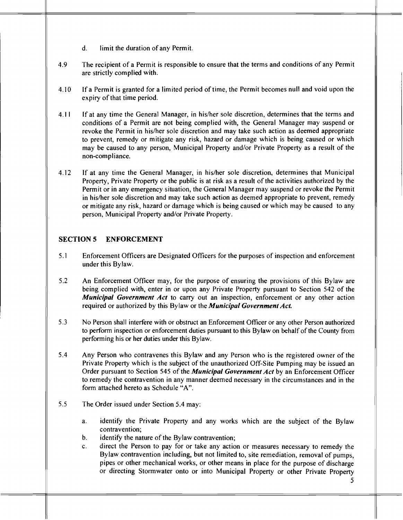- d. limit the duration of any Permit.
- 4.9 The recipient of a Permit is responsible to ensure that the terms and conditions of any Permit are strictly complied with.
- 4.10 If a Permit is granted for a limited period of time, the Permit becomes null and void upon the expiry of that time period.
- 4.11 If at any time the General Manager, in his/her sole discretion, determines that the terms and conditions of a Permit are not being complied with, the General Manager may suspend or revoke the Permit in his/her sole discretion and may take such action as deemed appropriate to prevent, remedy or mitigate any risk, hazard or damage which is being caused or which may be caused to any person, Municipal Property and/or Private Property as a result of the non-compliance.
- 4.12 If at any time the General Manager, in his/her sole discretion, determines that Municipal Property, Private Property or the public is at risk as a result of the activities authorized by the Permit or in any emergency situation, the General Manager may suspend or revoke the Permit in his/her sole discretion and may take such action as deemed appropriate to prevent, remedy or mitigate any risk, hazard or damage which is being caused or which may be caused to any person, Municipal Property and/or Private Property.

### *SECTION 5 ENFORCEMENT*

- 5.1 Enforcement Officers are Designated Officers for the purposes of inspection and enforcement under this Bylaw.
- 5.2 An Enforcement Officer may, for the purpose of ensuring the provisions of this Bylaw are being complied with, enter in or upon any Private Property pursuant to Section 542 of the *Municipal Government Act* to carry out an inspection, enforcement or any other action required or authorized by this Bylaw or the *Municipal Government Act.*
- 5.3 No Person shall interfere with or obstruct an Enforcement Officer or any other Person authorized to perform inspection or enforcement duties pursuant to this Bylaw on behalf of the County from performing his or her duties under this Bylaw.
- 5.4 Any Person who contravenes this Bylaw and any Person who is the registered owner of the Private Property which is the subject of the unauthorized Off-Site Pumping may be issued an Order pursuant to Section 545 of the *MunicipalGovernment Act* by an Enforcement Officer to remedy the contravention in any manner deemed necessary in the circumstances and in the form attached hereto as Schedule "A".
- 5.5 The Order issued under Section 5.4 may:
	- a. identify the Private Property and any works which are the subject of the Bylaw contravention;
	- b. identify the nature of the Bylaw contravention;
	- c. direct the Person to pay for or take any action or measures necessary to remedy the Bylaw contravention including, but not limited to, site remediation, removal of pumps, pipes or other mechanical works, or other means in place for the purpose of discharge or directing Stormwater onto or into Municipal Property or other Private Property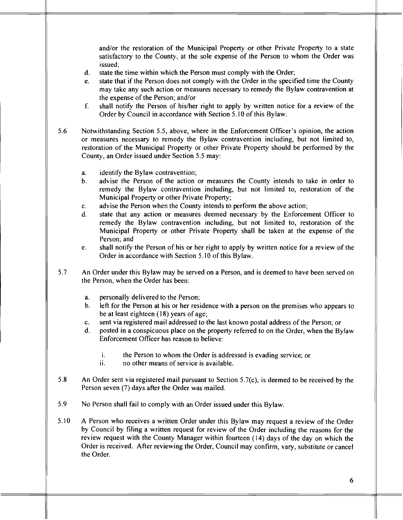and/or the restoration of the Municipal Property or other Private Property to a state satisfactory to the County, at the sole expense of the Person to whom the Order was issued;

- d. state the time within which the Person must comply with the Order;
- e. state that if the Person does not comply with the Order in the specified time the County may take any such action or measures necessary to remedy the Bylaw contravention at the expense of the Person; and/or
- f. shall notify the Person of his/her right to apply by written notice for a review of the Order by Council in accordance with Section 5.10 of this Bylaw.
- 5.6 Notwithstanding Section 5.5, above, where in the Enforcement Officer's opinion, the action or measures necessary to remedy the Bylaw contravention including, but not limited to, restoration of the Municipal Property or other Private Property should be performed by the County, an Order issued under Section 5.5 may:
	- a. identify the Bylaw contravention;
	- b. advise the Person of the action or measures the County intends to take in order to remedy the Bylaw contravention including, but not limited to, restoration of the Municipal Property or other Private Property;
	- c. advise the Person when the County intends to perform the above action;
	- d. state that any action or measures deemed necessary by the Enforcement Officer to remedy the Bylaw contravention including, but not limited to, restoration of the Municipal Property or other Private Property shall be taken at the expense of the Person; and
	- e. shall notify the Person of his or her right to apply by written notice for a review of the Order in accordance with Section 5.10 of this Bylaw.
- 5.7 An Order under this Bylaw may be served on a Person, and is deemed to have been served on the Person, when the Order has been:
	- a. personally delivered to the Person;
	- b. left for the Person at his or her residence with a person on the premises who appears to be at least eighteen (18) years of age;
	- c. sent via registered mail addressed to the last known postal address of the Person; or
	- d. posted in a conspicuous place on the property referred to on the Order, when the Bylaw Enforcement Officer has reason to believe:
		- i. the Person to whom the Order is addressed is evading service; or<br>ii. so other means of service is available.
		- no other means of service is available.
- 5.8 An Order sent via registered mail pursuant to Section 5.7(c), is deemed to be received by the Person seven (7) days after the Order was mailed.
- 5.9 No Person shall fail to comply with an Order issued under this Bylaw.
- 5.10 A Person who receives a written Order under this Bylaw may request a review of the Order by Council by filing a written request for review of the Order including the reasons for the review request with the County Manager within fourteen (14) days of the day on which the Order is received. After reviewing the Order, Council may confirm, vary, substitute or cancel the Order.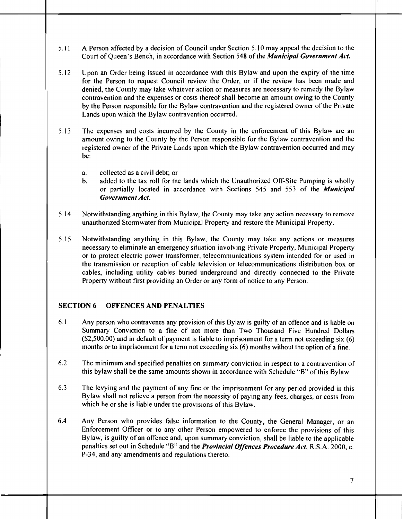- 5.11 A Person affected by a decision of Council under Section 5.10 may appeal the decision to the Court of Oueen's Bench, in accordance with Section 548 of the *Municipal Government Act.*
- 5.12 Upon an Order being issued in accordance with this Bylaw and upon the expiry of the time for the Person to request Council review the Order, or if the review has been made and denied, the County may take whatever action or measures are necessary to remedy the Bylaw contravention and the expenses or costs thereof shall become an amount owing to the County by the Person responsible for the Bylaw contravention and the registered owner of the Private Lands upon which the Bylaw contravention occurred.
- 5.13 The expenses and costs incurred by the County in the enforcement of this Bylaw are an amount owing to the County by the Person responsible for the Bylaw contravention and the registered owner of the Private Lands upon which the Bylaw contravention occurred and may be:
	- a. collected as a civil debt; or
	- b. added to the tax roll for the lands which the Unauthorized Off-Site Pumping is wholly or partially located in accordance with Sections 545 and 553 of the **Municipal** *Government Act.*
- 5.14 Notwithstanding anything in this Bylaw, the County may take any action necessary to remove unauthorized Stormwater from Municipal Property and restore the Municipal Property.
- 5.15 Notwithstanding anything in this Bylaw, the County may take any actions or measures necessary to eliminate an emergency situation involving Private Property, Municipal Property or to protect electric power transformer, telecommunications system intended for or used in the transmission or reception of cable television or telecommunications distribution box or cables, including utility cables buried underground and directly connected to the Private Property without first providing an Order or any form of notice to any Person.

#### *SECTION 6 OFFENCES AND PENALTIES*

- 6.1 Any person whocontravenes any provision of this Bylaw is guilty of an offence and is liable on Summary Conviction to a fine of not more than Two Thousand Five Hundred Dollars  $(S2,500.00)$  and in default of payment is liable to imprisonment for a term not exceeding six (6) months or to imprisonment for a term not exceeding  $s$  ix  $(6)$  months without the option of a fine.
- 6.2 The minimum and specified penalties on summary conviction in respect to a contravention of this bylaw shall be the same amounts shown in accordance with Schedule "B" of this Bylaw.
- 6.3 The levying and the payment of any fine or the imprisonment for any period provided in this Bylaw shall not relieve a person from the necessity of paying any fees, charges, or costs from which he or she is liable under the provisions of this Bylaw.
- 6.4 Any Person who provides false information to the County, the General Manager, or an Enforcement Officer or to any other Person empowered to enforce the provisions of this Bylaw, is guilty of an offence and, upon summary conviction, shall be liable to the applicable penalties setout in Schedule "B" and the*Provincial Offences Procedure Act,* R.S.A. 2000, c. P-34, and any amendments and regulations thereto.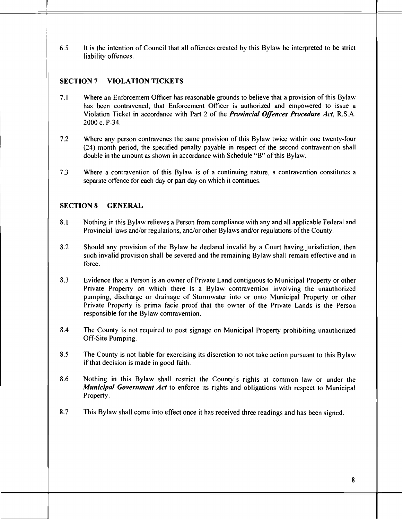6.5 It is the intention of Council that all offences created by this Bylaw be interpreted to be strict liability offences.

# *SECTION <sup>7</sup> VIOLATION TICKETS*

- 7.1 Where an Enforcement Officer has reasonable grounds to believe that a provision of this Bylaw has been contravened, that Enforcement Officer is authorized and empowered to issue a Violation Ticket in accordance with Part 2 of the *Provincial Offences Procedure Act,* R.S.A. 2000 c. P-34.
- 7.2 Where any person contravenes the same provision of this Bylaw twice within one twenty-four (24) month period, the specified penalty payable in respect of the second contravention shall double in the amount as shown in accordance with Schedule "B" of this Bylaw.
- 7.3 Where a contravention of this Bylaw is of a continuing nature, a contravention constitutes a separate offence for each day or part day on which it continues.

# *SECTION <sup>8</sup> GENERAL*

- 8.1 Nothingin this Bylawrelieves a Person from compliance with any and all applicable Federal and Provincial laws and/or regulations, and/or other Bylawsand/or regulations of the County.
- 8.2 Should any provision of the Bylaw be declared invalid by a Court having jurisdiction, then such invalid provision shall be severed and the remaining Bylaw shall remain effective and in force.
- 8.3 Evidence that a Person is an owner of Private Land contiguous to Municipal Property or other Private Property on which there is a Bylaw contravention involving the unauthorized pumping, discharge or drainage of Stormwater into or onto Municipal Property or other Private Property is prima facie proof that the owner of the Private Lands is the Person responsible for the Bylaw contravention.
- 8.4 The County is not required to post signage on Municipal Property prohibiting unauthorized Off-Site Pumping.
- 8.5 The County is not liable for exercising its discretion to not take action pursuant to this Bylaw if that decision is made in good faith.
- 8.6 Nothing in this Bylaw shall restrict the County's rights at common law or under the *Municipal Government Act* to enforce its rights and obligations with respect to Municipal Property.
- 8.7 This Bylaw shall come into effect once it has received three readings and has been signed.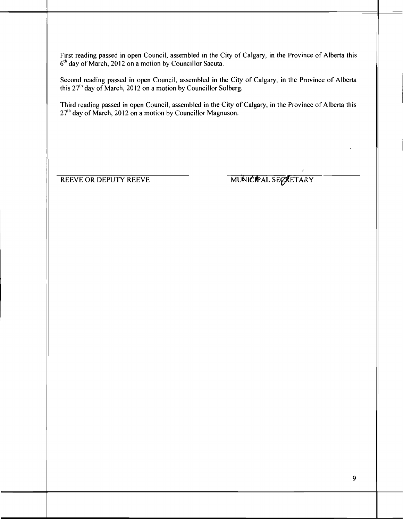First reading passed in open Council, assembled in the City of Calgary, in the Province of Alberta this 6<sup>th</sup> day of March, 2012 on a motion by Councillor Sacuta.

Second reading passed in open Council, assembled in the City of Calgary, in the Province of Alberta this  $27<sup>th</sup>$  day of March, 2012 on a motion by Councillor Solberg.

Third reading passed in open Council, assembled in the City of Calgary, in the Province of Alberta this  $27<sup>th</sup>$  day of March, 2012 on a motion by Councillor Magnuson.

REEVE OR DEPUTY REEVE MUNICIPAL SECRETARY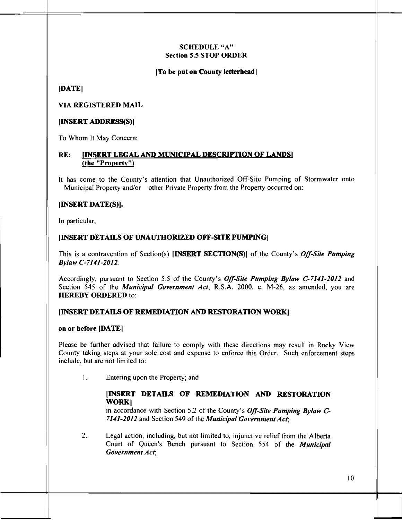### SCHEDULE "A" Section 5.5 *STOP ORDER*

#### *[To be put on County letterhead]*

*[DATE]*

#### *VIA REGISTERED MAIL*

#### *[INSERT ADDRESS(S)]*

To Whom It May Concern:

#### *RE: IINSERT LEGAL AND MUNICIPAL DESCRIPTION OF LANDSI (the "Property")*

It has come to the County's attention that Unauthorized Off-Site Pumping of Stormwater onto Municipal Property and/or other Private Property from the Property occurred on:

#### *[INSERT DATE(S)].*

In particular,

#### *[INSERT DETAILS OF UNAUTHORIZED OFF-SITE PUMPING]*

This is a contravention of Section(s) *[INSERT SECTTON(S)]* of the County's **Off-Site Pumping Bylaw C-7141-2012.**

Accordingly, pursuant to Section 5.5 of the County's **Off-Site Pumping Bylaw C-7141-2012** and Section 545 of the **Municipal Government Act,** R.S.A. 2000, c. M-26, as amended, you are *HEREBY ORDERED* to:

#### *[INSERT DETAILS OF REMEDIATION AND RESTORATION WORK]*

#### on or *before [DATE]*

Please be further advised that failure to comply with these directions may result in Rocky View County taking steps at your sole cost and expense to enforce this Order. Such enforcement steps include, but are not limited to:

1. Entering upon the Property; and

#### *[INSERT DETAILS OF REMEDIATION AND RESTORATION WORK]*

in accordance with Section 5.2 of the County's **Off-Site Pumping Bylaw C-7141-2012** and Section 549 ofthe **Municipal Government Act;**

**2.** Legal action, including, but not limited to, injunctive relief from the Alberta Court of Queen's Bench pursuant to Section 554 of the **Municipal Government Act;**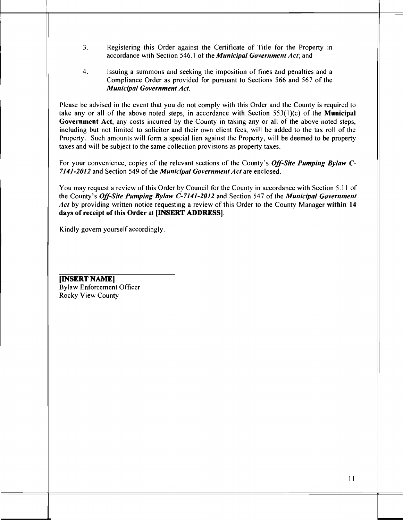- 3. Registering this Order against the Certificate of Title for the Property in accordance with Section 546.1 of the *Municipal Government Act*; and
- 4. Issuing a summons and seeking the imposition of fines and penalties and a Compliance Order as provided for pursuant to Sections 566 and 567 of the *Municipal Government Act.*

Please be advised in the event that you do not comply with this Order and the County is required to take any or all of the above noted steps, in accordance with Section 553(1)(c) of the *Municipal Government Act,* any costs incurred by the County in taking any or all of the above noted steps, including but not limited to solicitor and their own client fees, will be added to the tax roll of the Property. Such amounts will form a special lien against the Property, will be deemed to be property taxes and will be subject to the same collection provisions as property taxes.

For your convenience, copies of the relevant sections of the County's *Off-Site Pumping Bylaw C-7141-2012* and Section 549 ofthe *Municipal Government Act* are enclosed.

You may request a review of this Order by Council for the County in accordance with Section 5.11 of the County's *Off-Site Pumping Bylaw C-7141-2012* and Section 547 of the *Municipal Government Act* by providing written notice requesting a review of this Order to the County Manager *within 14 days of receipt of this Order* at *[INSERT ADDRESS]*.

Kindly govern yourself accordingly.

*[INSERT NAME]* Bylaw Enforcement Officer Rocky View County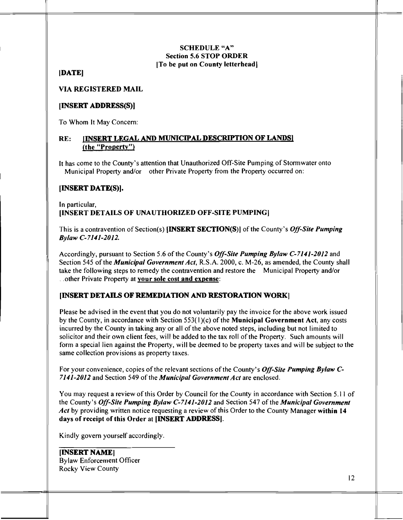#### *SCHEDULE"A" Section 5.6 STOP ORDER [To be put on County letterhead]*

## *[DATE]*

*VIA REGISTERED MAIL*

## *[INSERT ADDRESS(S)]*

To Whom It May Concern:

# *RE: IINSERT LEGAL AND MUNICD7AL DESCRIPTION OF LANDS1 (the "Property")*

*It* has come to the County's attention that Unauthorized Off-Site Pumping of Stormwater onto •Municipal Property and/or other Private Property from the Property occurred on:

# *[INSERT DATE(S)].*

### *In* particular, *[INSERT DETAILS OF UNAUTHORIZED OFF-SITE PUMPING)*

This is a contravention of Section(s) *[INSERT SECTION(S)]* of the County's *Off-Site Pumping Bylaw C-7141-2012.*

Accordingly, pursuant to Section 5.6 ofthe County's *Off-Site Pumping Bylaw C-7141-2012* and Section 545 of the *Municipal Government Act*, R.S.A. 2000, c. M-26, as amended, the County shall take the following steps to remedy the contravention and restore the Municipal Property and/or ^**]other** Private Property at *your sole cost and expense:*

# *[INSERT DETAILS OF REMEDIATION AND RESTORATION WORK]*

Please be advised in the event that you do not voluntarily pay the invoice for the above work issued by the County, in accordance with Section 553(1 )(c) of the *Municipal Government Act,* any costs incurred by the County in taking any or all of the above noted steps, including but not limited to solicitor and their own client fees, will be added to the tax roll of the Property. Such amounts will form a special lien against the Property, will be deemed to be property taxes and will be subject to the same collection provisions as property taxes.

For your convenience, copies of the relevant sections of the County's *Off-Site Pumping Bylaw C-7141-2012* and Section 549 ofthe *Municipal Government Act* are enclosed.

You may request a review of this Order by Council for the County in accordance with Section 5.11 of the County's*Off-Site Pumping Bylaw C-7141-2012* and Section 547 of the*Municipal Government* Act by providing written notice requesting a review of this Order to the County Manager within 14 *days of receipt of this Order* at *[INSERT ADDRESS].*

Kindly govern yourself accordingly.

*[INSERT NAME]* Bylaw Enforcement Officer Rocky View County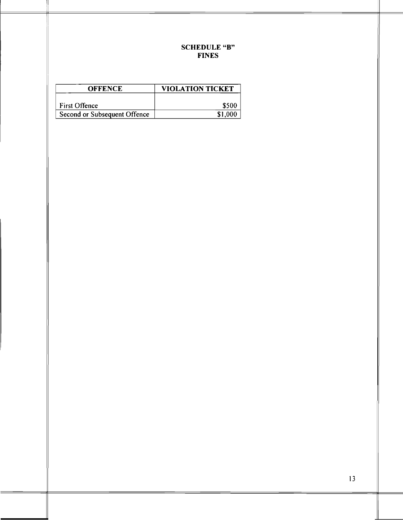# SCHEDULE "B" FINES

| <b>OFFENCE</b>               | VIOLATION TICKET |
|------------------------------|------------------|
| <b>First Offence</b>         | <b>S500</b>      |
| Second or Subsequent Offence | \$1.000          |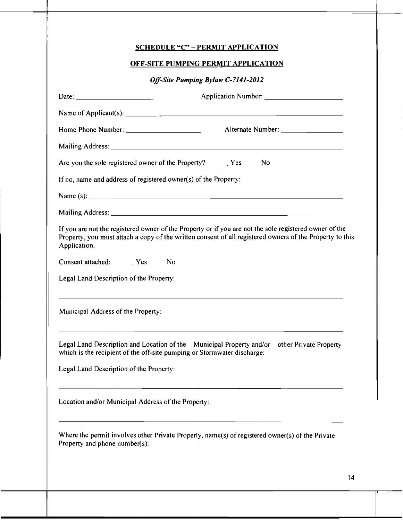|                                                                                                                         | OFF-SITE PUMPING PERMIT APPLICATION                                                                                                                                                                                                                                                       |  |
|-------------------------------------------------------------------------------------------------------------------------|-------------------------------------------------------------------------------------------------------------------------------------------------------------------------------------------------------------------------------------------------------------------------------------------|--|
| Off-Site Pumping Bylaw C-7141-2012                                                                                      |                                                                                                                                                                                                                                                                                           |  |
| Date: $\frac{1}{\sqrt{1-\frac{1}{2}}\sqrt{1-\frac{1}{2}}\sqrt{1-\frac{1}{2}}\sqrt{1-\frac{1}{2}}\sqrt{1-\frac{1}{2}}}}$ |                                                                                                                                                                                                                                                                                           |  |
|                                                                                                                         | Name of Applicant(s): $\frac{1}{2}$ and $\frac{1}{2}$ and $\frac{1}{2}$ and $\frac{1}{2}$ and $\frac{1}{2}$ and $\frac{1}{2}$ and $\frac{1}{2}$ and $\frac{1}{2}$ and $\frac{1}{2}$ and $\frac{1}{2}$ and $\frac{1}{2}$ and $\frac{1}{2}$ and $\frac{1}{2}$ and $\frac{1}{2}$ and $\frac$ |  |
|                                                                                                                         |                                                                                                                                                                                                                                                                                           |  |
|                                                                                                                         |                                                                                                                                                                                                                                                                                           |  |
|                                                                                                                         | Are you the sole registered owner of the Property? Nes<br>No                                                                                                                                                                                                                              |  |
| If no, name and address of registered owner(s) of the Property:                                                         |                                                                                                                                                                                                                                                                                           |  |
|                                                                                                                         |                                                                                                                                                                                                                                                                                           |  |
|                                                                                                                         |                                                                                                                                                                                                                                                                                           |  |
|                                                                                                                         |                                                                                                                                                                                                                                                                                           |  |
|                                                                                                                         | If you are not the registered owner of the Property or if you are not the sole registered owner of the<br>Property, you must attach a copy of the written consent of all registered owners of the Property to this                                                                        |  |
|                                                                                                                         | No                                                                                                                                                                                                                                                                                        |  |
| Application.<br>Consent attached: Yes<br>Legal Land Description of the Property:                                        |                                                                                                                                                                                                                                                                                           |  |
|                                                                                                                         |                                                                                                                                                                                                                                                                                           |  |
| Municipal Address of the Property:                                                                                      | Legal Land Description and Location of the Municipal Property and/or<br>other Private Property<br>which is the recipient of the off-site pumping or Stormwater discharge:                                                                                                                 |  |
| Legal Land Description of the Property:                                                                                 |                                                                                                                                                                                                                                                                                           |  |
| Location and/or Municipal Address of the Property:                                                                      |                                                                                                                                                                                                                                                                                           |  |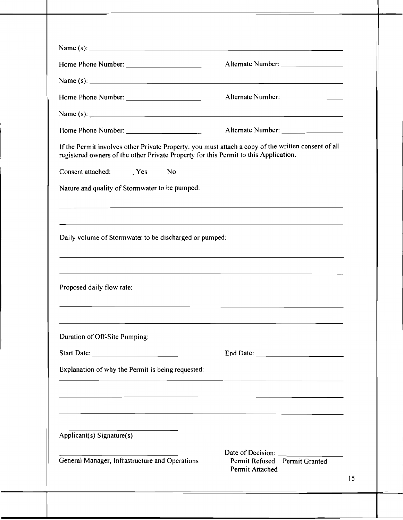|                                                                                      | Name (s): $\frac{1}{2}$ and $\frac{1}{2}$ and $\frac{1}{2}$ and $\frac{1}{2}$ and $\frac{1}{2}$ and $\frac{1}{2}$ and $\frac{1}{2}$ and $\frac{1}{2}$ and $\frac{1}{2}$ and $\frac{1}{2}$ and $\frac{1}{2}$ and $\frac{1}{2}$ and $\frac{1}{2}$ and $\frac{1}{2}$ and $\frac{1}{2}$ and |
|--------------------------------------------------------------------------------------|-----------------------------------------------------------------------------------------------------------------------------------------------------------------------------------------------------------------------------------------------------------------------------------------|
|                                                                                      |                                                                                                                                                                                                                                                                                         |
| registered owners of the other Private Property for this Permit to this Application. | If the Permit involves other Private Property, you must attach a copy of the written consent of all                                                                                                                                                                                     |
| Consent attached: Yes No                                                             |                                                                                                                                                                                                                                                                                         |
| Nature and quality of Stormwater to be pumped:                                       |                                                                                                                                                                                                                                                                                         |
|                                                                                      |                                                                                                                                                                                                                                                                                         |
| Daily volume of Stormwater to be discharged or pumped:                               |                                                                                                                                                                                                                                                                                         |
| Proposed daily flow rate:                                                            |                                                                                                                                                                                                                                                                                         |
| Duration of Off-Site Pumping:                                                        |                                                                                                                                                                                                                                                                                         |
|                                                                                      |                                                                                                                                                                                                                                                                                         |
|                                                                                      |                                                                                                                                                                                                                                                                                         |
| Explanation of why the Permit is being requested:                                    |                                                                                                                                                                                                                                                                                         |
|                                                                                      | <u> 1989 - Andrea Santa Alemania, amerikana amerikana amerikana amerikana amerikana amerikana amerikana amerikana</u>                                                                                                                                                                   |
| Applicant(s) Signature(s)                                                            |                                                                                                                                                                                                                                                                                         |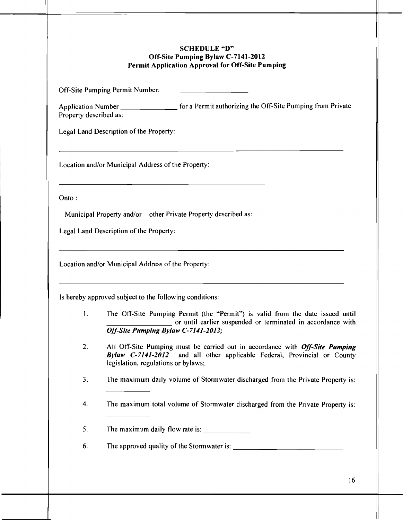### *SCHEDULE"D" Off-Site Pumping Bylaw C-7141-2012 Permit Application Approval for Off-Site Pumping*

Off-Site Pumping Permit Number:

Application Number \_\_\_\_\_\_\_\_\_\_\_\_\_\_\_\_\_\_\_ for a Permit authorizing the Off-Site Pumping from Private Property described as:

Legal Land Description of the Property:

Location and/or Municipal Address of the Property:

Onto :

Municipal Property and/or other Private Property described as:

Legal Land Description of the Property:

Location and/or Municipal Address of the Property:

Is hereby approved subject to the following conditions:

- 1. The Off-Site Pumping Permit (the "Permit") is valid from the date issued until or until earlier suspended or terminated in accordance with *Off-Site Pumping Bylaw C-7141-2012;*
- **2.** All Off-Site Pumping must be carried out in accordance with *Off-Site Pumping Bylaw C-7141-2012* and all other applicable Federal, Provincial or County legislation, regulations or bylaws;
- 3. The maximum daily volume of Stormwater discharged from the Private Property is:
- 4. The maximum total volume of Stormwater discharged from the Private Property is:

5. The maximum daily flow rate is:

6. The approved quality of the Stormwater is: \_\_\_\_\_\_\_\_\_\_\_\_\_\_\_\_\_\_\_\_\_\_\_\_\_\_\_\_\_\_\_\_\_\_